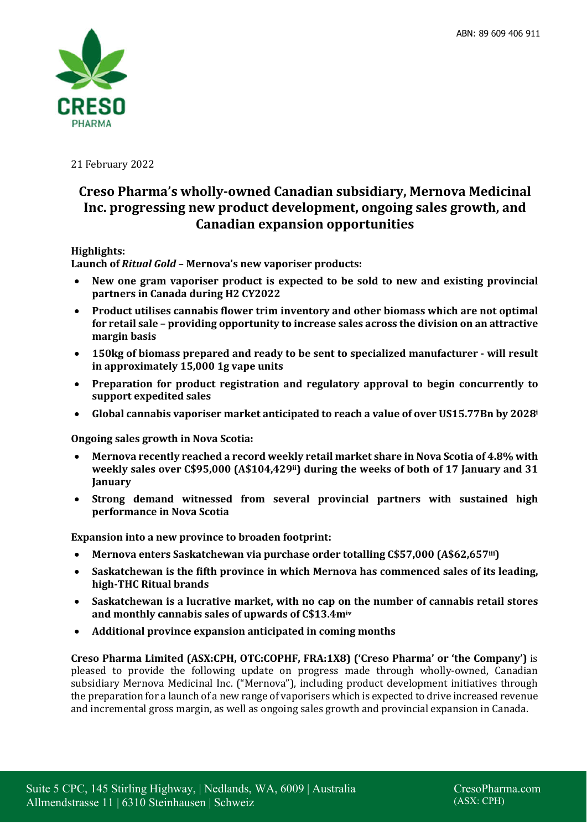

21 February 2022

# **Creso Pharma's wholly-owned Canadian subsidiary, Mernova Medicinal Inc. progressing new product development, ongoing sales growth, and Canadian expansion opportunities**

# **Highlights:**

**Launch of** *Ritual Gold* **– Mernova's new vaporiser products:** 

- **New one gram vaporiser product is expected to be sold to new and existing provincial partners in Canada during H2 CY2022**
- **Product utilises cannabis flower trim inventory and other biomass which are not optimal for retail sale – providing opportunity to increase sales across the division on an attractive margin basis**
- **150kg of biomass prepared and ready to be sent to specialized manufacturer - will result in approximately 15,000 1g vape units**
- **Preparation for product registration and regulatory approval to begin concurrently to support expedited sales**
- **Global cannabis vaporiser market anticipated to reach a value of over US15.77Bn by 2028i**

**Ongoing sales growth in Nova Scotia:**

- **Mernova recently reached a record weekly retail market share in Nova Scotia of 4.8% with weekly sales over C\$95,000 (A\$104,429ii) during the weeks of both of 17 January and 31 January**
- **Strong demand witnessed from several provincial partners with sustained high performance in Nova Scotia**

**Expansion into a new province to broaden footprint:** 

- **Mernova enters Saskatchewan via purchase order totalling C\$57,000 (A\$62,657iii)**
- **Saskatchewan is the fifth province in which Mernova has commenced sales of its leading, high-THC Ritual brands**
- **Saskatchewan is a lucrative market, with no cap on the number of cannabis retail stores and monthly cannabis sales of upwards of C\$13.4miv**
- **Additional province expansion anticipated in coming months**

**Creso Pharma Limited (ASX:CPH, OTC:COPHF, FRA:1X8) ('Creso Pharma' or 'the Company')** is pleased to provide the following update on progress made through wholly-owned, Canadian subsidiary Mernova Medicinal Inc. ("Mernova"), including product development initiatives through the preparation for a launch of a new range of vaporisers which is expected to drive increased revenue and incremental gross margin, as well as ongoing sales growth and provincial expansion in Canada.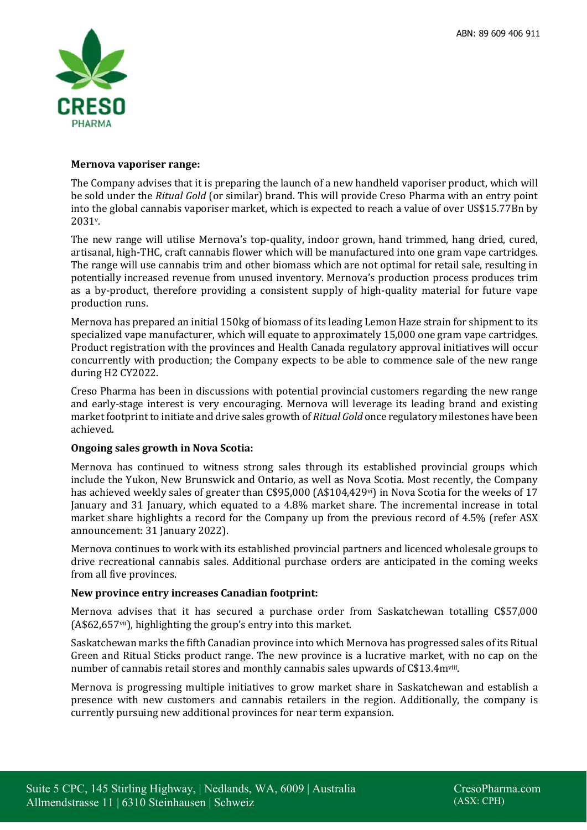

## **Mernova vaporiser range:**

The Company advises that it is preparing the launch of a new handheld vaporiser product, which will be sold under the *Ritual Gold* (or similar) brand. This will provide Creso Pharma with an entry point into the global cannabis vaporiser market, which is expected to reach a value of over US\$15.77Bn by 2031v.

The new range will utilise Mernova's top-quality, indoor grown, hand trimmed, hang dried, cured, artisanal, high-THC, craft cannabis flower which will be manufactured into one gram vape cartridges. The range will use cannabis trim and other biomass which are not optimal for retail sale, resulting in potentially increased revenue from unused inventory. Mernova's production process produces trim as a by-product, therefore providing a consistent supply of high-quality material for future vape production runs.

Mernova has prepared an initial 150kg of biomass of its leading Lemon Haze strain for shipment to its specialized vape manufacturer, which will equate to approximately 15,000 one gram vape cartridges. Product registration with the provinces and Health Canada regulatory approval initiatives will occur concurrently with production; the Company expects to be able to commence sale of the new range during H2 CY2022.

Creso Pharma has been in discussions with potential provincial customers regarding the new range and early-stage interest is very encouraging. Mernova will leverage its leading brand and existing market footprint to initiate and drive sales growth of *Ritual Gold* once regulatory milestones have been achieved.

### **Ongoing sales growth in Nova Scotia:**

Mernova has continued to witness strong sales through its established provincial groups which include the Yukon, New Brunswick and Ontario, as well as Nova Scotia. Most recently, the Company has achieved weekly sales of greater than C\$95,000 (A\$104,429vi) in Nova Scotia for the weeks of 17 January and 31 January, which equated to a 4.8% market share. The incremental increase in total market share highlights a record for the Company up from the previous record of 4.5% (refer ASX announcement: 31 January 2022).

Mernova continues to work with its established provincial partners and licenced wholesale groups to drive recreational cannabis sales. Additional purchase orders are anticipated in the coming weeks from all five provinces.

# **New province entry increases Canadian footprint:**

Mernova advises that it has secured a purchase order from Saskatchewan totalling C\$57,000 (A\$62,657vii), highlighting the group's entry into this market.

Saskatchewan marks the fifth Canadian province into which Mernova has progressed sales of its Ritual Green and Ritual Sticks product range. The new province is a lucrative market, with no cap on the number of cannabis retail stores and monthly cannabis sales upwards of C\$13.4m<sup>viii</sup>.

Mernova is progressing multiple initiatives to grow market share in Saskatchewan and establish a presence with new customers and cannabis retailers in the region. Additionally, the company is currently pursuing new additional provinces for near term expansion.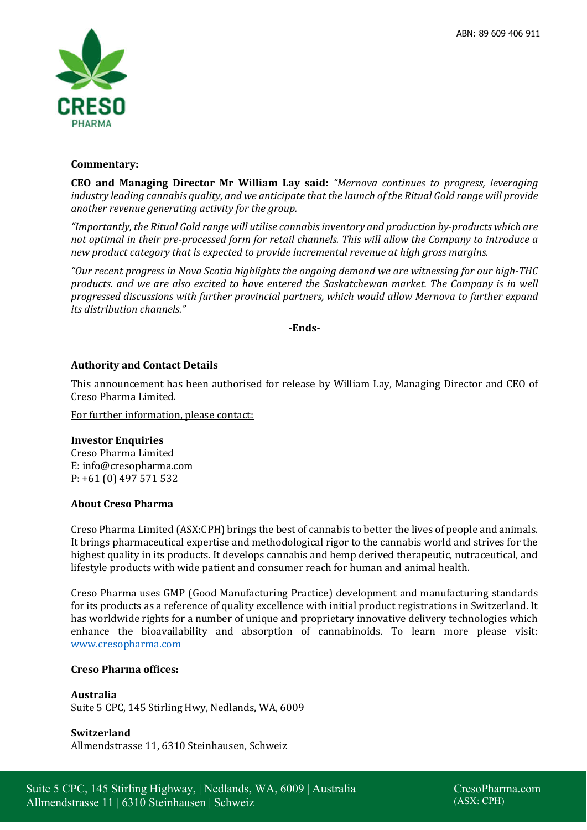

## **Commentary:**

**CEO and Managing Director Mr William Lay said:** *"Mernova continues to progress, leveraging industry leading cannabis quality, and we anticipate that the launch of the Ritual Gold range will provide another revenue generating activity for the group.* 

*"Importantly, the Ritual Gold range will utilise cannabis inventory and production by-products which are not optimal in their pre-processed form for retail channels. This will allow the Company to introduce a new product category that is expected to provide incremental revenue at high gross margins.* 

*"Our recent progress in Nova Scotia highlights the ongoing demand we are witnessing for our high-THC products. and we are also excited to have entered the Saskatchewan market. The Company is in well progressed discussions with further provincial partners, which would allow Mernova to further expand its distribution channels."* 

**-Ends-**

## **Authority and Contact Details**

This announcement has been authorised for release by William Lay, Managing Director and CEO of Creso Pharma Limited.

For further information, please contact:

### **Investor Enquiries**

Creso Pharma Limited E: info@cresopharma.com P: +61 (0) 497 571 532

### **About Creso Pharma**

Creso Pharma Limited (ASX:CPH) brings the best of cannabis to better the lives of people and animals. It brings pharmaceutical expertise and methodological rigor to the cannabis world and strives for the highest quality in its products. It develops cannabis and hemp derived therapeutic, nutraceutical, and lifestyle products with wide patient and consumer reach for human and animal health.

Creso Pharma uses GMP (Good Manufacturing Practice) development and manufacturing standards for its products as a reference of quality excellence with initial product registrations in Switzerland. It has worldwide rights for a number of unique and proprietary innovative delivery technologies which enhance the bioavailability and absorption of cannabinoids. To learn more please visit: www.cresopharma.com

## **Creso Pharma offices:**

**Australia** Suite 5 CPC, 145 Stirling Hwy, Nedlands, WA, 6009

**Switzerland** Allmendstrasse 11, 6310 Steinhausen, Schweiz